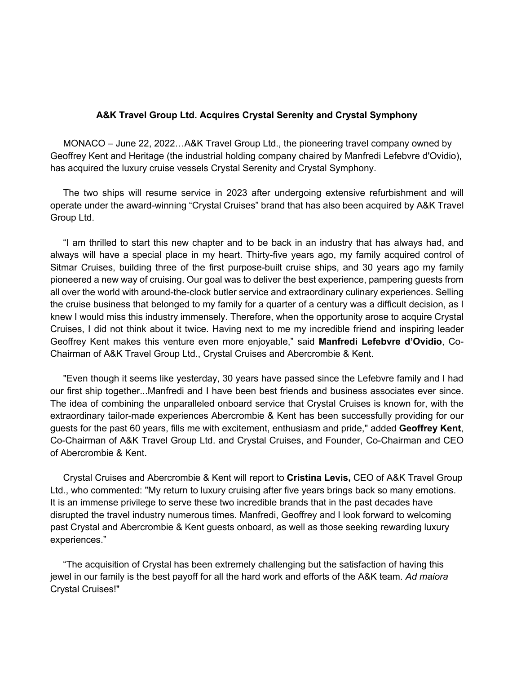## **A&K Travel Group Ltd. Acquires Crystal Serenity and Crystal Symphony**

 MONACO – June 22, 2022…A&K Travel Group Ltd., the pioneering travel company owned by Geoffrey Kent and Heritage (the industrial holding company chaired by Manfredi Lefebvre d'Ovidio), has acquired the luxury cruise vessels Crystal Serenity and Crystal Symphony.

 The two ships will resume service in 2023 after undergoing extensive refurbishment and will operate under the award-winning "Crystal Cruises" brand that has also been acquired by A&K Travel Group Ltd.

 "I am thrilled to start this new chapter and to be back in an industry that has always had, and always will have a special place in my heart. Thirty-five years ago, my family acquired control of Sitmar Cruises, building three of the first purpose-built cruise ships, and 30 years ago my family pioneered a new way of cruising. Our goal was to deliver the best experience, pampering guests from all over the world with around-the-clock butler service and extraordinary culinary experiences. Selling the cruise business that belonged to my family for a quarter of a century was a difficult decision, as I knew I would miss this industry immensely. Therefore, when the opportunity arose to acquire Crystal Cruises, I did not think about it twice. Having next to me my incredible friend and inspiring leader Geoffrey Kent makes this venture even more enjoyable," said **Manfredi Lefebvre d'Ovidio**, Co-Chairman of A&K Travel Group Ltd., Crystal Cruises and Abercrombie & Kent.

 "Even though it seems like yesterday, 30 years have passed since the Lefebvre family and I had our first ship together...Manfredi and I have been best friends and business associates ever since. The idea of combining the unparalleled onboard service that Crystal Cruises is known for, with the extraordinary tailor-made experiences Abercrombie & Kent has been successfully providing for our guests for the past 60 years, fills me with excitement, enthusiasm and pride," added **Geoffrey Kent**, Co-Chairman of A&K Travel Group Ltd. and Crystal Cruises, and Founder, Co-Chairman and CEO of Abercrombie & Kent.

 Crystal Cruises and Abercrombie & Kent will report to **Cristina Levis,** CEO of A&K Travel Group Ltd., who commented: "My return to luxury cruising after five years brings back so many emotions. It is an immense privilege to serve these two incredible brands that in the past decades have disrupted the travel industry numerous times. Manfredi, Geoffrey and I look forward to welcoming past Crystal and Abercrombie & Kent guests onboard, as well as those seeking rewarding luxury experiences."

 "The acquisition of Crystal has been extremely challenging but the satisfaction of having this jewel in our family is the best payoff for all the hard work and efforts of the A&K team. *Ad maiora* Crystal Cruises!"